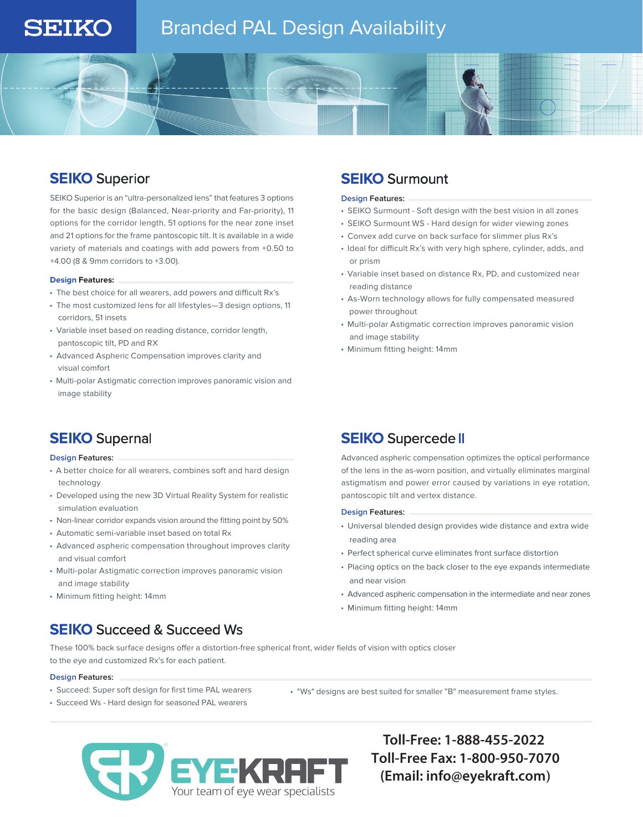# Branded PAL Design Availability

# **SEIKO** Superior

**SEIKO** 

SEIKO Superior is an "ultra-personalized lens" that features 3 options for the basic design (Balanced, Near-priority and Far-priority), 11 options for the corridor length, 51 options for the near zone inset and 21 options for the frame pantoscopic tilt. It is available in a wide variety of materials and coatings with add powers from +0.50 to +4.00 (8 & 9mm corridors to +3.00).

### **Design Features:**

- The best choice for all wearers, add powers and difficult Rx's
- The most customized lens for all lifestyles—3 design options, 11 corridors, 51 insets
- Variable inset based on reading distance, corridor length, pantoscopic tilt, PD and RX
- Advanced Aspheric Compensation improves clarity and visual comfort
- Multi-polar Astigmatic correction improves panoramic vision and image stability

# **SEIKO** Supernal

### **Design Features:**

- A better choice for all wearers, combines soft and hard design technology
- Developed using the new 3D Virtual Reality System for realistic simulation evaluation
- Non-linear corridor expands vision around the fitting point by 50%
- Automatic semi-variable inset based on total Rx
- Advanced aspheric compensation throughout improves clarity and visual comfort
- Multi-polar Astigmatic correction improves panoramic vision and image stability
- Minimum fitting height: 14mm

# **SEIKO** Succeed & Succeed Ws

## **SEIKO** Surmount

### **Design Features:**

- SEIKO Surmount Soft design with the best vision in all zones
- SEIKO Surmount WS Hard design for wider viewing zones
- Convex add curve on back surface for slimmer plus Rx's
- Ideal for difficult Rx's with very high sphere, cylinder, adds, and or prism
- Variable inset based on distance Rx, PD, and customized near reading distance
- As-Worn technology allows for fully compensated measured power throughout
- Multi-polar Astigmatic correction improves panoramic vision and image stability
- Minimum fitting height: 14mm

# **SEIKO** Supercede II

Advanced aspheric compensation optimizes the optical performance of the lens in the as-worn position, and virtually eliminates marginal astigmatism and power error caused by variations in eye rotation, pantoscopic tilt and vertex distance.

### **Design Features:**

- Universal blended design provides wide distance and extra wide reading area
- Perfect spherical curve eliminates front surface distortion
- Placing optics on the back closer to the eye expands intermediate and near vision
- Advanced aspheric compensation in the intermediate and near zones
- Minimum fitting height: 14mm

These 100% back surface designs offer a distortion-free spherical front, wider fields of vision with optics closer to the eye and customized Rx's for each patient.

### **Design Features:**

- Succeed: Super soft design for first time PAL wearers
- Succeed Ws Hard design for seasoned PAL wearers

• "Ws" designs are best suited for smaller "B" measurement frame styles.



**Toll-Free: 1-888-455-2022 Toll-Free Fax: 1-800-950-7070 (Email: info@eyekraft.com)**